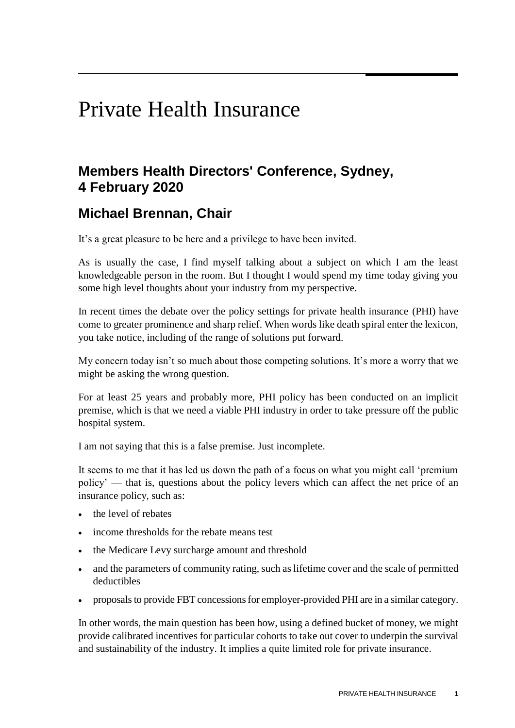## Private Health Insurance

## **Members Health Directors' Conference, Sydney, 4 February 2020**

## **Michael Brennan, Chair**

It's a great pleasure to be here and a privilege to have been invited.

As is usually the case, I find myself talking about a subject on which I am the least knowledgeable person in the room. But I thought I would spend my time today giving you some high level thoughts about your industry from my perspective.

In recent times the debate over the policy settings for private health insurance (PHI) have come to greater prominence and sharp relief. When words like death spiral enter the lexicon, you take notice, including of the range of solutions put forward.

My concern today isn't so much about those competing solutions. It's more a worry that we might be asking the wrong question.

For at least 25 years and probably more, PHI policy has been conducted on an implicit premise, which is that we need a viable PHI industry in order to take pressure off the public hospital system.

I am not saying that this is a false premise. Just incomplete.

It seems to me that it has led us down the path of a focus on what you might call 'premium policy' — that is, questions about the policy levers which can affect the net price of an insurance policy, such as:

- the level of rebates
- income thresholds for the rebate means test
- the Medicare Levy surcharge amount and threshold
- and the parameters of community rating, such as lifetime cover and the scale of permitted deductibles
- proposals to provide FBT concessions for employer-provided PHI are in a similar category.

In other words, the main question has been how, using a defined bucket of money, we might provide calibrated incentives for particular cohorts to take out cover to underpin the survival and sustainability of the industry. It implies a quite limited role for private insurance.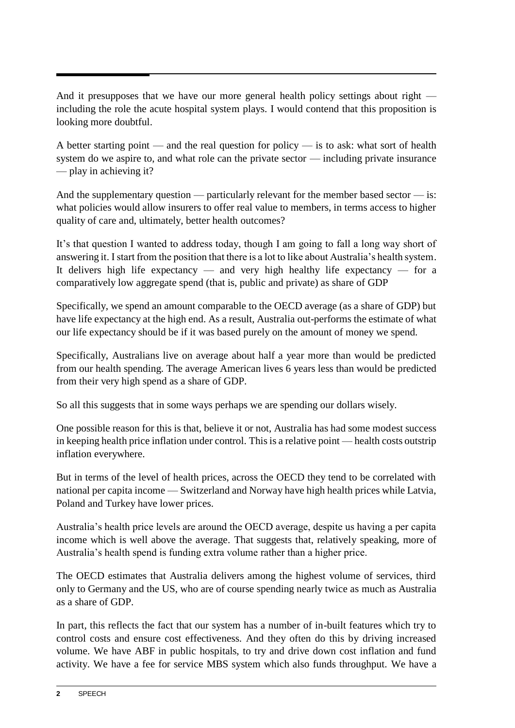And it presupposes that we have our more general health policy settings about right including the role the acute hospital system plays. I would contend that this proposition is looking more doubtful.

A better starting point — and the real question for policy — is to ask: what sort of health system do we aspire to, and what role can the private sector — including private insurance — play in achieving it?

And the supplementary question — particularly relevant for the member based sector — is: what policies would allow insurers to offer real value to members, in terms access to higher quality of care and, ultimately, better health outcomes?

It's that question I wanted to address today, though I am going to fall a long way short of answering it. I start from the position that there is a lot to like about Australia's health system. It delivers high life expectancy — and very high healthy life expectancy — for a comparatively low aggregate spend (that is, public and private) as share of GDP

Specifically, we spend an amount comparable to the OECD average (as a share of GDP) but have life expectancy at the high end. As a result, Australia out-performs the estimate of what our life expectancy should be if it was based purely on the amount of money we spend.

Specifically, Australians live on average about half a year more than would be predicted from our health spending. The average American lives 6 years less than would be predicted from their very high spend as a share of GDP.

So all this suggests that in some ways perhaps we are spending our dollars wisely.

One possible reason for this is that, believe it or not, Australia has had some modest success in keeping health price inflation under control. This is a relative point — health costs outstrip inflation everywhere.

But in terms of the level of health prices, across the OECD they tend to be correlated with national per capita income — Switzerland and Norway have high health prices while Latvia, Poland and Turkey have lower prices.

Australia's health price levels are around the OECD average, despite us having a per capita income which is well above the average. That suggests that, relatively speaking, more of Australia's health spend is funding extra volume rather than a higher price.

The OECD estimates that Australia delivers among the highest volume of services, third only to Germany and the US, who are of course spending nearly twice as much as Australia as a share of GDP.

In part, this reflects the fact that our system has a number of in-built features which try to control costs and ensure cost effectiveness. And they often do this by driving increased volume. We have ABF in public hospitals, to try and drive down cost inflation and fund activity. We have a fee for service MBS system which also funds throughput. We have a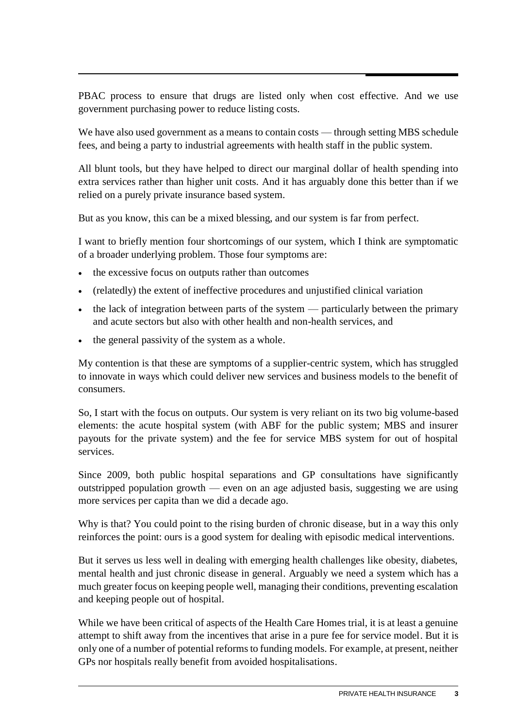PBAC process to ensure that drugs are listed only when cost effective. And we use government purchasing power to reduce listing costs.

We have also used government as a means to contain costs — through setting MBS schedule fees, and being a party to industrial agreements with health staff in the public system.

All blunt tools, but they have helped to direct our marginal dollar of health spending into extra services rather than higher unit costs. And it has arguably done this better than if we relied on a purely private insurance based system.

But as you know, this can be a mixed blessing, and our system is far from perfect.

I want to briefly mention four shortcomings of our system, which I think are symptomatic of a broader underlying problem. Those four symptoms are:

- the excessive focus on outputs rather than outcomes
- (relatedly) the extent of ineffective procedures and unjustified clinical variation
- the lack of integration between parts of the system particularly between the primary and acute sectors but also with other health and non-health services, and
- the general passivity of the system as a whole.

My contention is that these are symptoms of a supplier-centric system, which has struggled to innovate in ways which could deliver new services and business models to the benefit of consumers.

So, I start with the focus on outputs. Our system is very reliant on its two big volume-based elements: the acute hospital system (with ABF for the public system; MBS and insurer payouts for the private system) and the fee for service MBS system for out of hospital services.

Since 2009, both public hospital separations and GP consultations have significantly outstripped population growth — even on an age adjusted basis, suggesting we are using more services per capita than we did a decade ago.

Why is that? You could point to the rising burden of chronic disease, but in a way this only reinforces the point: ours is a good system for dealing with episodic medical interventions.

But it serves us less well in dealing with emerging health challenges like obesity, diabetes, mental health and just chronic disease in general. Arguably we need a system which has a much greater focus on keeping people well, managing their conditions, preventing escalation and keeping people out of hospital.

While we have been critical of aspects of the Health Care Homes trial, it is at least a genuine attempt to shift away from the incentives that arise in a pure fee for service model. But it is only one of a number of potential reforms to funding models. For example, at present, neither GPs nor hospitals really benefit from avoided hospitalisations.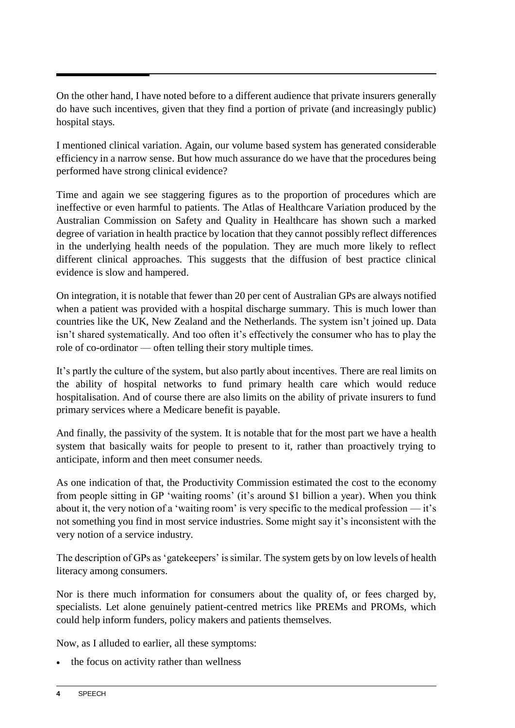On the other hand, I have noted before to a different audience that private insurers generally do have such incentives, given that they find a portion of private (and increasingly public) hospital stays.

I mentioned clinical variation. Again, our volume based system has generated considerable efficiency in a narrow sense. But how much assurance do we have that the procedures being performed have strong clinical evidence?

Time and again we see staggering figures as to the proportion of procedures which are ineffective or even harmful to patients. The Atlas of Healthcare Variation produced by the Australian Commission on Safety and Quality in Healthcare has shown such a marked degree of variation in health practice by location that they cannot possibly reflect differences in the underlying health needs of the population. They are much more likely to reflect different clinical approaches. This suggests that the diffusion of best practice clinical evidence is slow and hampered.

On integration, it is notable that fewer than 20 per cent of Australian GPs are always notified when a patient was provided with a hospital discharge summary. This is much lower than countries like the UK, New Zealand and the Netherlands. The system isn't joined up. Data isn't shared systematically. And too often it's effectively the consumer who has to play the role of co-ordinator — often telling their story multiple times.

It's partly the culture of the system, but also partly about incentives. There are real limits on the ability of hospital networks to fund primary health care which would reduce hospitalisation. And of course there are also limits on the ability of private insurers to fund primary services where a Medicare benefit is payable.

And finally, the passivity of the system. It is notable that for the most part we have a health system that basically waits for people to present to it, rather than proactively trying to anticipate, inform and then meet consumer needs.

As one indication of that, the Productivity Commission estimated the cost to the economy from people sitting in GP 'waiting rooms' (it's around \$1 billion a year). When you think about it, the very notion of a 'waiting room' is very specific to the medical profession — it's not something you find in most service industries. Some might say it's inconsistent with the very notion of a service industry.

The description of GPs as 'gatekeepers' is similar. The system gets by on low levels of health literacy among consumers.

Nor is there much information for consumers about the quality of, or fees charged by, specialists. Let alone genuinely patient-centred metrics like PREMs and PROMs, which could help inform funders, policy makers and patients themselves.

Now, as I alluded to earlier, all these symptoms:

• the focus on activity rather than wellness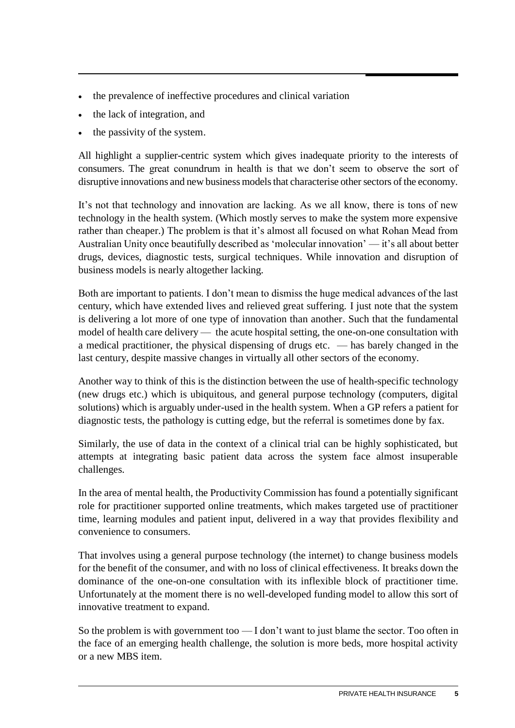- the prevalence of ineffective procedures and clinical variation
- the lack of integration, and
- the passivity of the system.

All highlight a supplier-centric system which gives inadequate priority to the interests of consumers. The great conundrum in health is that we don't seem to observe the sort of disruptive innovations and new business models that characterise other sectors of the economy.

It's not that technology and innovation are lacking. As we all know, there is tons of new technology in the health system. (Which mostly serves to make the system more expensive rather than cheaper.) The problem is that it's almost all focused on what Rohan Mead from Australian Unity once beautifully described as 'molecular innovation' — it's all about better drugs, devices, diagnostic tests, surgical techniques. While innovation and disruption of business models is nearly altogether lacking.

Both are important to patients. I don't mean to dismiss the huge medical advances of the last century, which have extended lives and relieved great suffering. I just note that the system is delivering a lot more of one type of innovation than another. Such that the fundamental model of health care delivery — the acute hospital setting, the one-on-one consultation with a medical practitioner, the physical dispensing of drugs etc. — has barely changed in the last century, despite massive changes in virtually all other sectors of the economy.

Another way to think of this is the distinction between the use of health-specific technology (new drugs etc.) which is ubiquitous, and general purpose technology (computers, digital solutions) which is arguably under-used in the health system. When a GP refers a patient for diagnostic tests, the pathology is cutting edge, but the referral is sometimes done by fax.

Similarly, the use of data in the context of a clinical trial can be highly sophisticated, but attempts at integrating basic patient data across the system face almost insuperable challenges.

In the area of mental health, the Productivity Commission has found a potentially significant role for practitioner supported online treatments, which makes targeted use of practitioner time, learning modules and patient input, delivered in a way that provides flexibility and convenience to consumers.

That involves using a general purpose technology (the internet) to change business models for the benefit of the consumer, and with no loss of clinical effectiveness. It breaks down the dominance of the one-on-one consultation with its inflexible block of practitioner time. Unfortunately at the moment there is no well-developed funding model to allow this sort of innovative treatment to expand.

So the problem is with government too — I don't want to just blame the sector. Too often in the face of an emerging health challenge, the solution is more beds, more hospital activity or a new MBS item.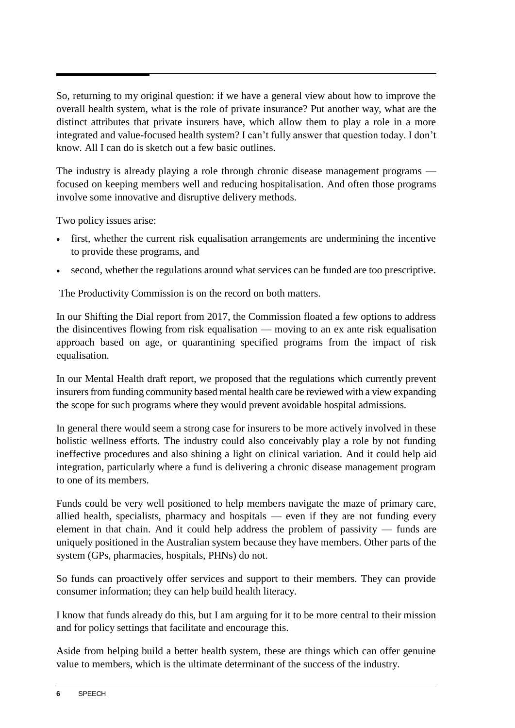So, returning to my original question: if we have a general view about how to improve the overall health system, what is the role of private insurance? Put another way, what are the distinct attributes that private insurers have, which allow them to play a role in a more integrated and value-focused health system? I can't fully answer that question today. I don't know. All I can do is sketch out a few basic outlines.

The industry is already playing a role through chronic disease management programs focused on keeping members well and reducing hospitalisation. And often those programs involve some innovative and disruptive delivery methods.

Two policy issues arise:

- first, whether the current risk equalisation arrangements are undermining the incentive to provide these programs, and
- second, whether the regulations around what services can be funded are too prescriptive.

The Productivity Commission is on the record on both matters.

In our Shifting the Dial report from 2017, the Commission floated a few options to address the disincentives flowing from risk equalisation — moving to an ex ante risk equalisation approach based on age, or quarantining specified programs from the impact of risk equalisation.

In our Mental Health draft report, we proposed that the regulations which currently prevent insurers from funding community based mental health care be reviewed with a view expanding the scope for such programs where they would prevent avoidable hospital admissions.

In general there would seem a strong case for insurers to be more actively involved in these holistic wellness efforts. The industry could also conceivably play a role by not funding ineffective procedures and also shining a light on clinical variation. And it could help aid integration, particularly where a fund is delivering a chronic disease management program to one of its members.

Funds could be very well positioned to help members navigate the maze of primary care, allied health, specialists, pharmacy and hospitals — even if they are not funding every element in that chain. And it could help address the problem of passivity — funds are uniquely positioned in the Australian system because they have members. Other parts of the system (GPs, pharmacies, hospitals, PHNs) do not.

So funds can proactively offer services and support to their members. They can provide consumer information; they can help build health literacy.

I know that funds already do this, but I am arguing for it to be more central to their mission and for policy settings that facilitate and encourage this.

Aside from helping build a better health system, these are things which can offer genuine value to members, which is the ultimate determinant of the success of the industry.